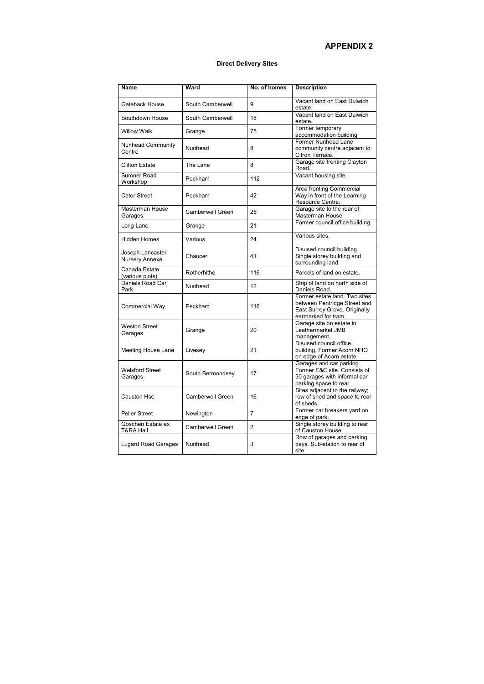## **APPENDIX 2**

## **Direct Delivery Sites**

| <b>Name</b>                               | <b>Ward</b>             | No. of homes   | <b>Description</b>                                                                                                    |
|-------------------------------------------|-------------------------|----------------|-----------------------------------------------------------------------------------------------------------------------|
| Gateback House                            | South Camberwell        | 9              | Vacant land on East Dulwich<br>estate.                                                                                |
| Southdown House                           | South Camberwell        | 18             | Vacant land on East Dulwich<br>estate.                                                                                |
| <b>Willow Walk</b>                        | Grange                  | 75             | Former temporary<br>accommodation building.                                                                           |
| Nunhead Community<br>Centre               | Nunhead                 | 8              | Former Nunhead Lane<br>community centre adjacent to<br>Citron Terrace.                                                |
| <b>Clifton Estate</b>                     | The Lane                | 8              | Garage site fronting Clayton<br>Road.                                                                                 |
| Sumner Road<br>Workshop                   | Peckham                 | 112            | Vacant housing site.                                                                                                  |
| <b>Cator Street</b>                       | Peckham                 | 42             | Area fronting Commercial<br>Way in front of the Learning<br>Resource Centre.                                          |
| Masterman House<br>Garages                | <b>Camberwell Green</b> | 25             | Garage site to the rear of<br>Masterman House.                                                                        |
| Long Lane                                 | Grange                  | 21             | Former council office building.                                                                                       |
| <b>Hidden Homes</b>                       | Various                 | 24             | Various sites.                                                                                                        |
| Joseph Lancaster<br>Nursery Annexe        | Chaucer                 | 41             | Disused council building.<br>Single storey building and<br>surrounding land.                                          |
| Canada Estate<br>(various plots)          | Rotherhithe             | 116            | Parcels of land on estate.                                                                                            |
| Daniels Road Car<br>Park                  | Nunhead                 | 12             | Strip of land on north side of<br>Daniels Road.                                                                       |
| Commercial Way                            | Peckham                 | 116            | Former estate land. Two sites<br>between Pentridge Street and<br>East Surrey Grove. Originally<br>earmarked for tram. |
| <b>Weston Street</b><br>Garages           | Grange                  | 20             | Garage site on estate in<br>Leathermarket JMB<br>management.                                                          |
| <b>Meeting House Lane</b>                 | Livesey                 | 21             | Disused council office<br>building. Former Acorn NHO<br>on edge of Acorn estate.                                      |
| <b>Welsford Street</b><br>Garages         | South Bermondsey        | 17             | Garages and car parking.<br>Former E&C site. Consists of<br>30 garages with informal car<br>parking space to rear.    |
| <b>Causton Hse</b>                        | <b>Camberwell Green</b> | 16             | Sites adjacent to the railway;<br>row of shed and space to rear<br>of sheds.                                          |
| <b>Pelier Street</b>                      | Newington               | $\overline{7}$ | Former car breakers yard on<br>edge of park.                                                                          |
| Goschen Estate ex<br><b>T&amp;RA Hall</b> | <b>Camberwell Green</b> | $\overline{2}$ | Single storey building to rear<br>of Causton House.                                                                   |
| <b>Lugard Road Garages</b>                | Nunhead                 | 3              | Row of garages and parking<br>bays. Sub-station to rear of<br>site.                                                   |